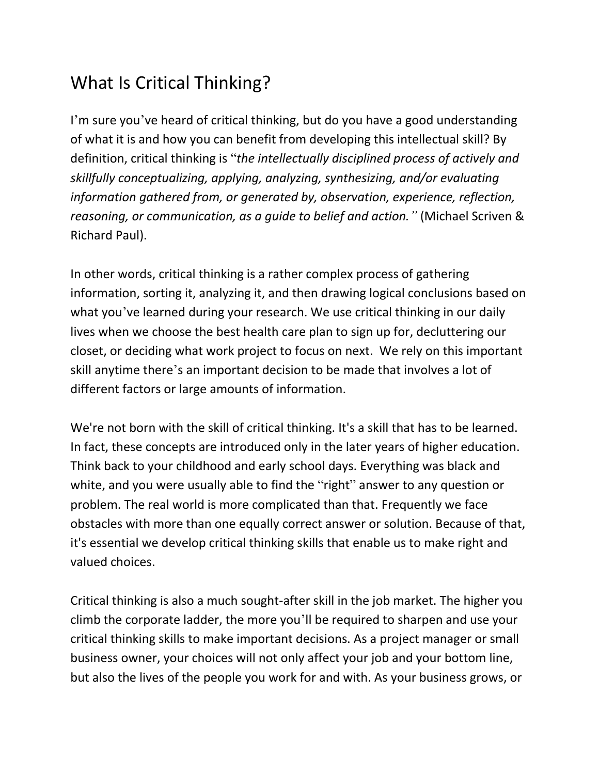## What Is Critical Thinking?

I'm sure you've heard of critical thinking, but do you have a good understanding of what it is and how you can benefit from developing this intellectual skill? By definition, critical thinking is "*the intellectually disciplined process of actively and skillfully conceptualizing, applying, analyzing, synthesizing, and/or evaluating information gathered from, or generated by, observation, experience, reflection, reasoning, or communication, as a guide to belief and action."* (Michael Scriven & Richard Paul).

In other words, critical thinking is a rather complex process of gathering information, sorting it, analyzing it, and then drawing logical conclusions based on what you've learned during your research. We use critical thinking in our daily lives when we choose the best health care plan to sign up for, decluttering our closet, or deciding what work project to focus on next. We rely on this important skill anytime there's an important decision to be made that involves a lot of different factors or large amounts of information.

We're not born with the skill of critical thinking. It's a skill that has to be learned. In fact, these concepts are introduced only in the later years of higher education. Think back to your childhood and early school days. Everything was black and white, and you were usually able to find the "right" answer to any question or problem. The real world is more complicated than that. Frequently we face obstacles with more than one equally correct answer or solution. Because of that, it's essential we develop critical thinking skills that enable us to make right and valued choices.

Critical thinking is also a much sought-after skill in the job market. The higher you climb the corporate ladder, the more you'll be required to sharpen and use your critical thinking skills to make important decisions. As a project manager or small business owner, your choices will not only affect your job and your bottom line, but also the lives of the people you work for and with. As your business grows, or